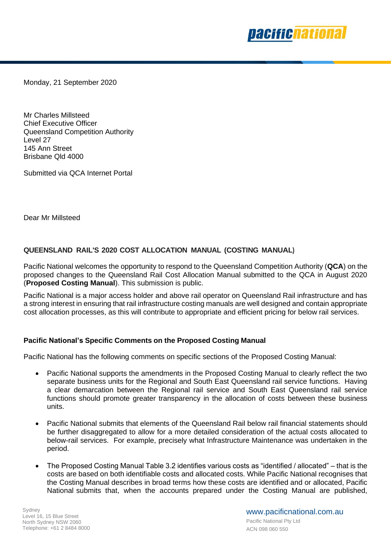

Monday, 21 September 2020

Mr Charles Millsteed Chief Executive Officer Queensland Competition Authority Level 27 145 Ann Street Brisbane Qld 4000

Submitted via QCA Internet Portal

Dear Mr Millsteed

## **QUEENSLAND RAIL'S 2020 COST ALLOCATION MANUAL (COSTING MANUAL)**

Pacific National welcomes the opportunity to respond to the Queensland Competition Authority (**QCA**) on the proposed changes to the Queensland Rail Cost Allocation Manual submitted to the QCA in August 2020 (**Proposed Costing Manual**). This submission is public.

Pacific National is a major access holder and above rail operator on Queensland Rail infrastructure and has a strong interest in ensuring that rail infrastructure costing manuals are well designed and contain appropriate cost allocation processes, as this will contribute to appropriate and efficient pricing for below rail services.

## **Pacific National's Specific Comments on the Proposed Costing Manual**

Pacific National has the following comments on specific sections of the Proposed Costing Manual:

- Pacific National supports the amendments in the Proposed Costing Manual to clearly reflect the two separate business units for the Regional and South East Queensland rail service functions. Having a clear demarcation between the Regional rail service and South East Queensland rail service functions should promote greater transparency in the allocation of costs between these business units.
- Pacific National submits that elements of the Queensland Rail below rail financial statements should be further disaggregated to allow for a more detailed consideration of the actual costs allocated to below-rail services. For example, precisely what Infrastructure Maintenance was undertaken in the period.
- The Proposed Costing Manual Table 3.2 identifies various costs as "identified / allocated" that is the costs are based on both identifiable costs and allocated costs. While Pacific National recognises that the Costing Manual describes in broad terms how these costs are identified and or allocated, Pacific National submits that, when the accounts prepared under the Costing Manual are published,

www.pacificnational.com.au Pacific National Pty Ltd ACN 098 060 550